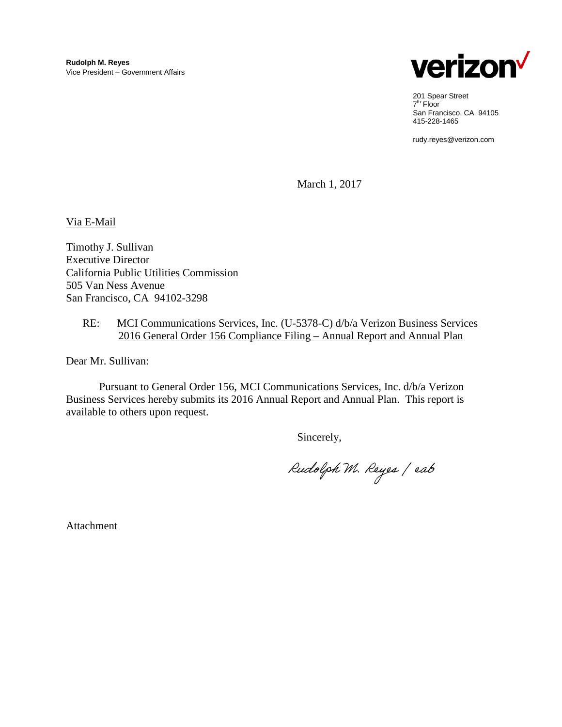

201 Spear Street 7th Floor San Francisco, CA 94105 415-228-1465

rudy.reyes@verizon.com

March 1, 2017

Via E-Mail

Timothy J. Sullivan Executive Director California Public Utilities Commission 505 Van Ness Avenue San Francisco, CA 94102-3298

### RE: MCI Communications Services, Inc. (U-5378-C) d/b/a Verizon Business Services 2016 General Order 156 Compliance Filing – Annual Report and Annual Plan

Dear Mr. Sullivan:

Pursuant to General Order 156, MCI Communications Services, Inc. d/b/a Verizon Business Services hereby submits its 2016 Annual Report and Annual Plan. This report is available to others upon request.

Sincerely,

Rudolph M. Reyes / eab

Attachment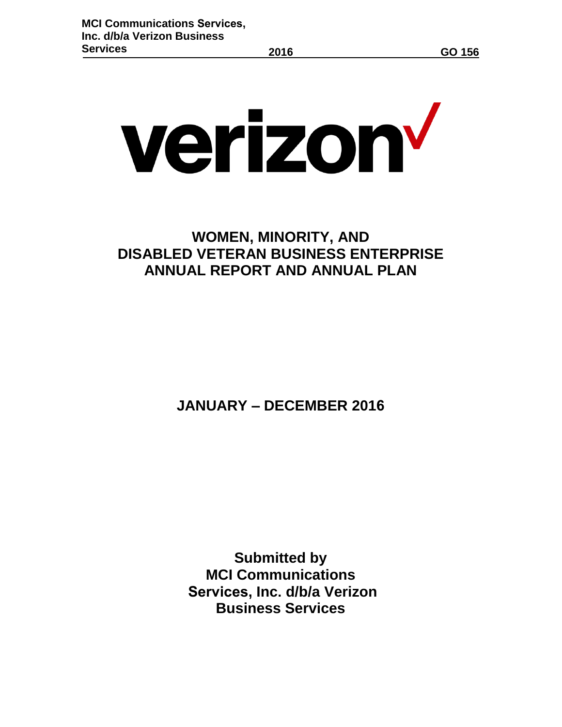# verizon<sup>v</sup>

# **WOMEN, MINORITY, AND DISABLED VETERAN BUSINESS ENTERPRISE ANNUAL REPORT AND ANNUAL PLAN**

**JANUARY – DECEMBER 2016**

**Submitted by MCI Communications Services, Inc. d/b/a Verizon Business Services**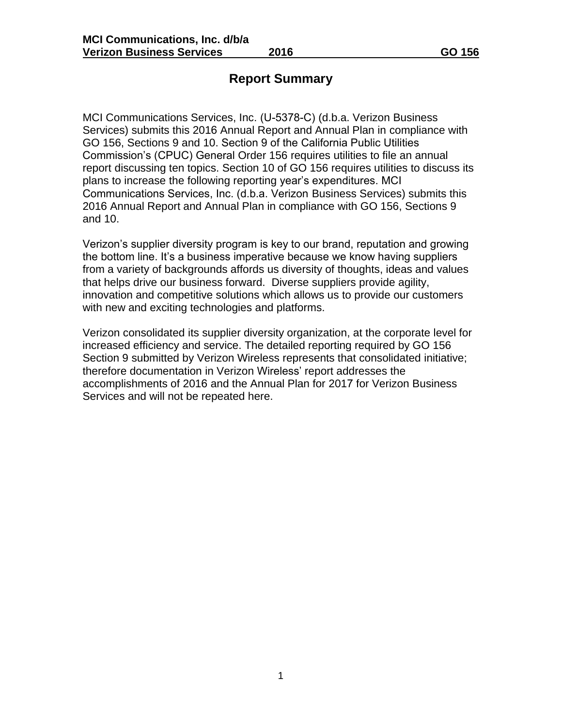### **Report Summary**

MCI Communications Services, Inc. (U-5378-C) (d.b.a. Verizon Business Services) submits this 2016 Annual Report and Annual Plan in compliance with GO 156, Sections 9 and 10. Section 9 of the California Public Utilities Commission's (CPUC) General Order 156 requires utilities to file an annual report discussing ten topics. Section 10 of GO 156 requires utilities to discuss its plans to increase the following reporting year's expenditures. MCI Communications Services, Inc. (d.b.a. Verizon Business Services) submits this 2016 Annual Report and Annual Plan in compliance with GO 156, Sections 9 and 10.

Verizon's supplier diversity program is key to our brand, reputation and growing the bottom line. It's a business imperative because we know having suppliers from a variety of backgrounds affords us diversity of thoughts, ideas and values that helps drive our business forward. Diverse suppliers provide agility, innovation and competitive solutions which allows us to provide our customers with new and exciting technologies and platforms.

Verizon consolidated its supplier diversity organization, at the corporate level for increased efficiency and service. The detailed reporting required by GO 156 Section 9 submitted by Verizon Wireless represents that consolidated initiative; therefore documentation in Verizon Wireless' report addresses the accomplishments of 2016 and the Annual Plan for 2017 for Verizon Business Services and will not be repeated here.